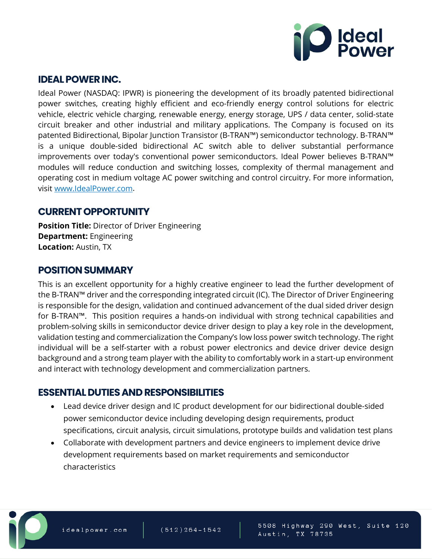

### **IDEAL POWER INC.**

Ideal Power (NASDAQ: IPWR) is pioneering the development of its broadly patented bidirectional power switches, creating highly efficient and eco-friendly energy control solutions for electric vehicle, electric vehicle charging, renewable energy, energy storage, UPS / data center, solid-state circuit breaker and other industrial and military applications. The Company is focused on its patented Bidirectional, Bipolar Junction Transistor (B-TRAN™) semiconductor technology. B-TRAN™ is a unique double-sided bidirectional AC switch able to deliver substantial performance improvements over today's conventional power semiconductors. Ideal Power believes B-TRAN™ modules will reduce conduction and switching losses, complexity of thermal management and operating cost in medium voltage AC power switching and control circuitry. For more information, visit [www.IdealPower.com.](http://www.idealpower.com/)

## **CURRENT OPPORTUNITY**

**Position Title:** Director of Driver Engineering **Department:** Engineering **Location:** Austin, TX

## **POSITION SUMMARY**

This is an excellent opportunity for a highly creative engineer to lead the further development of the B-TRAN™ driver and the corresponding integrated circuit (IC). The Director of Driver Engineering is responsible for the design, validation and continued advancement of the dual sided driver design for B-TRAN™. This position requires a hands-on individual with strong technical capabilities and problem-solving skills in semiconductor device driver design to play a key role in the development, validation testing and commercialization the Company's low loss power switch technology. The right individual will be a self-starter with a robust power electronics and device driver device design background and a strong team player with the ability to comfortably work in a start-up environment and interact with technology development and commercialization partners.

## **ESSENTIAL DUTIES AND RESPONSIBILITIES**

- Lead device driver design and IC product development for our bidirectional double-sided power semiconductor device including developing design requirements, product specifications, circuit analysis, circuit simulations, prototype builds and validation test plans
- Collaborate with development partners and device engineers to implement device drive development requirements based on market requirements and semiconductor characteristics